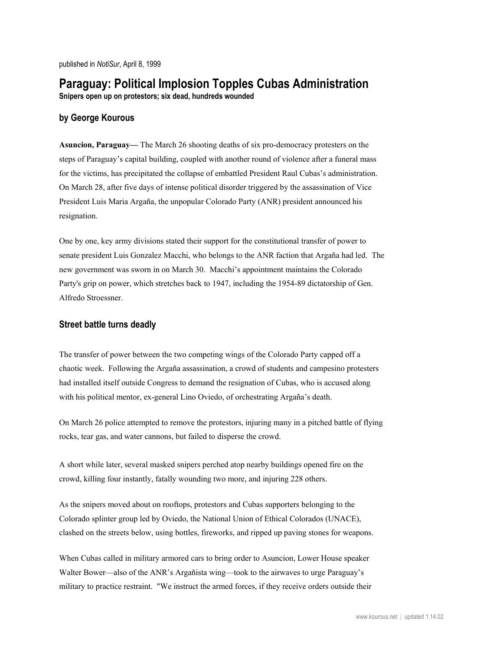# **Paraguay: Political Implosion Topples Cubas Administration**

**Snipers open up on protestors; six dead, hundreds wounded**

# **by George Kourous**

**Asuncion, Paraguay—** The March 26 shooting deaths of six pro-democracy protesters on the steps of Paraguay's capital building, coupled with another round of violence after a funeral mass for the victims, has precipitated the collapse of embattled President Raul Cubas's administration. On March 28, after five days of intense political disorder triggered by the assassination of Vice President Luis Maria Argaña, the unpopular Colorado Party (ANR) president announced his resignation.

One by one, key army divisions stated their support for the constitutional transfer of power to senate president Luis Gonzalez Macchi, who belongs to the ANR faction that Argaña had led. The new government was sworn in on March 30. Macchi's appointment maintains the Colorado Party's grip on power, which stretches back to 1947, including the 1954-89 dictatorship of Gen. Alfredo Stroessner.

# **Street battle turns deadly**

The transfer of power between the two competing wings of the Colorado Party capped off a chaotic week. Following the Argaña assassination, a crowd of students and campesino protesters had installed itself outside Congress to demand the resignation of Cubas, who is accused along with his political mentor, ex-general Lino Oviedo, of orchestrating Argaña's death.

On March 26 police attempted to remove the protestors, injuring many in a pitched battle of flying rocks, tear gas, and water cannons, but failed to disperse the crowd.

A short while later, several masked snipers perched atop nearby buildings opened fire on the crowd, killing four instantly, fatally wounding two more, and injuring 228 others.

As the snipers moved about on rooftops, protestors and Cubas supporters belonging to the Colorado splinter group led by Oviedo, the National Union of Ethical Colorados (UNACE), clashed on the streets below, using bottles, fireworks, and ripped up paving stones for weapons.

When Cubas called in military armored cars to bring order to Asuncion, Lower House speaker Walter Bower—also of the ANR's Argañista wing—took to the airwaves to urge Paraguay's military to practice restraint. "We instruct the armed forces, if they receive orders outside their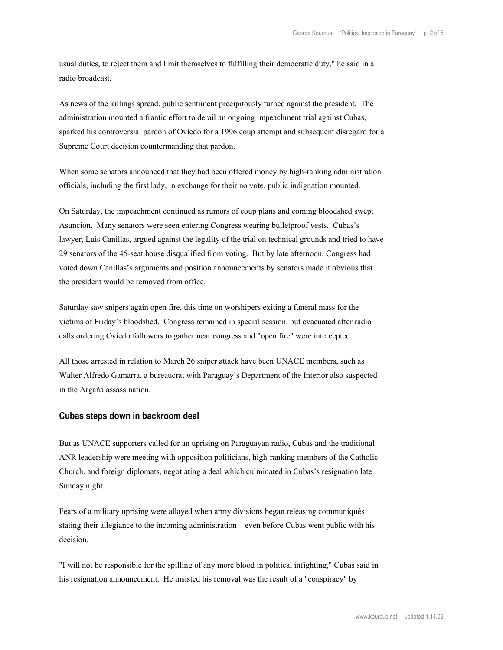usual duties, to reject them and limit themselves to fulfilling their democratic duty," he said in a radio broadcast.

As news of the killings spread, public sentiment precipitously turned against the president. The administration mounted a frantic effort to derail an ongoing impeachment trial against Cubas, sparked his controversial pardon of Oviedo for a 1996 coup attempt and subsequent disregard for a Supreme Court decision countermanding that pardon.

When some senators announced that they had been offered money by high-ranking administration officials, including the first lady, in exchange for their no vote, public indignation mounted.

On Saturday, the impeachment continued as rumors of coup plans and coming bloodshed swept Asuncion. Many senators were seen entering Congress wearing bulletproof vests. Cubas's lawyer, Luis Canillas, argued against the legality of the trial on technical grounds and tried to have 29 senators of the 45-seat house disqualified from voting. But by late afternoon, Congress had voted down Canillas's arguments and position announcements by senators made it obvious that the president would be removed from office.

Saturday saw snipers again open fire, this time on worshipers exiting a funeral mass for the victims of Friday's bloodshed. Congress remained in special session, but evacuated after radio calls ordering Oviedo followers to gather near congress and "open fire" were intercepted.

All those arrested in relation to March 26 sniper attack have been UNACE members, such as Walter Alfredo Gamarra, a bureaucrat with Paraguay's Department of the Interior also suspected in the Argaña assassination.

#### **Cubas steps down in backroom deal**

But as UNACE supporters called for an uprising on Paraguayan radio, Cubas and the traditional ANR leadership were meeting with opposition politicians, high-ranking members of the Catholic Church, and foreign diplomats, negotiating a deal which culminated in Cubas's resignation late Sunday night.

Fears of a military uprising were allayed when army divisions began releasing communiqués stating their allegiance to the incoming administration—even before Cubas went public with his decision.

"I will not be responsible for the spilling of any more blood in political infighting," Cubas said in his resignation announcement. He insisted his removal was the result of a "conspiracy" by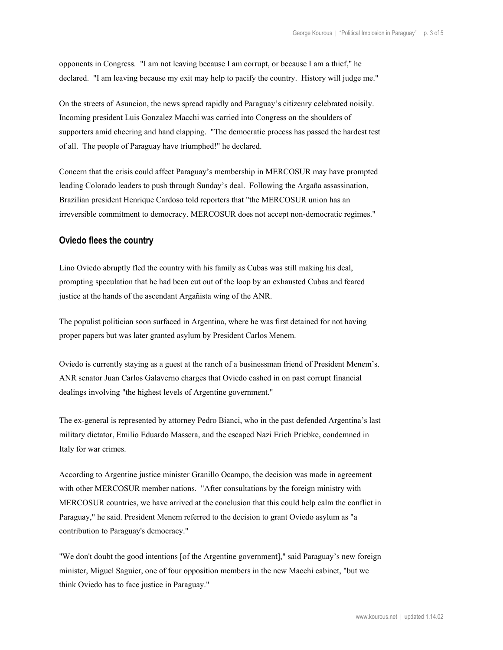opponents in Congress. "I am not leaving because I am corrupt, or because I am a thief," he declared. "I am leaving because my exit may help to pacify the country. History will judge me."

On the streets of Asuncion, the news spread rapidly and Paraguay's citizenry celebrated noisily. Incoming president Luis Gonzalez Macchi was carried into Congress on the shoulders of supporters amid cheering and hand clapping. "The democratic process has passed the hardest test of all. The people of Paraguay have triumphed!" he declared.

Concern that the crisis could affect Paraguay's membership in MERCOSUR may have prompted leading Colorado leaders to push through Sunday's deal. Following the Argaña assassination, Brazilian president Henrique Cardoso told reporters that "the MERCOSUR union has an irreversible commitment to democracy. MERCOSUR does not accept non-democratic regimes."

#### **Oviedo flees the country**

Lino Oviedo abruptly fled the country with his family as Cubas was still making his deal, prompting speculation that he had been cut out of the loop by an exhausted Cubas and feared justice at the hands of the ascendant Argañista wing of the ANR.

The populist politician soon surfaced in Argentina, where he was first detained for not having proper papers but was later granted asylum by President Carlos Menem.

Oviedo is currently staying as a guest at the ranch of a businessman friend of President Menem's. ANR senator Juan Carlos Galaverno charges that Oviedo cashed in on past corrupt financial dealings involving "the highest levels of Argentine government."

The ex-general is represented by attorney Pedro Bianci, who in the past defended Argentina's last military dictator, Emilio Eduardo Massera, and the escaped Nazi Erich Priebke, condemned in Italy for war crimes.

According to Argentine justice minister Granillo Ocampo, the decision was made in agreement with other MERCOSUR member nations. "After consultations by the foreign ministry with MERCOSUR countries, we have arrived at the conclusion that this could help calm the conflict in Paraguay," he said. President Menem referred to the decision to grant Oviedo asylum as "a contribution to Paraguay's democracy."

"We don't doubt the good intentions [of the Argentine government]," said Paraguay's new foreign minister, Miguel Saguier, one of four opposition members in the new Macchi cabinet, "but we think Oviedo has to face justice in Paraguay."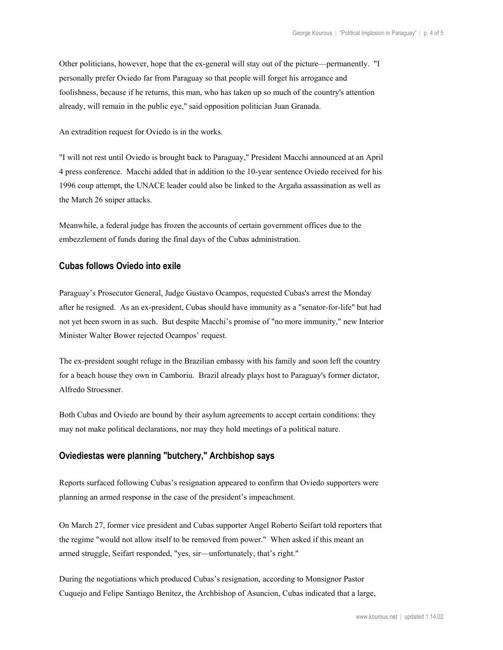Other politicians, however, hope that the ex-general will stay out of the picture—permanently. "I personally prefer Oviedo far from Paraguay so that people will forget his arrogance and foolishness, because if he returns, this man, who has taken up so much of the country's attention already, will remain in the public eye," said opposition politician Juan Granada.

An extradition request for Oviedo is in the works.

"I will not rest until Oviedo is brought back to Paraguay," President Macchi announced at an April 4 press conference. Macchi added that in addition to the 10-year sentence Oviedo received for his 1996 coup attempt, the UNACE leader could also be linked to the Argaña assassination as well as the March 26 sniper attacks.

Meanwhile, a federal judge has frozen the accounts of certain government offices due to the embezzlement of funds during the final days of the Cubas administration.

# **Cubas follows Oviedo into exile**

Paraguay's Prosecutor General, Judge Gustavo Ocampos, requested Cubas's arrest the Monday after he resigned. As an ex-president, Cubas should have immunity as a "senator-for-life" but had not yet been sworn in as such. But despite Macchi's promise of "no more immunity," new Interior Minister Walter Bower rejected Ocampos' request.

The ex-president sought refuge in the Brazilian embassy with his family and soon left the country for a beach house they own in Camboriu. Brazil already plays host to Paraguay's former dictator, Alfredo Stroessner.

Both Cubas and Oviedo are bound by their asylum agreements to accept certain conditions: they may not make political declarations, nor may they hold meetings of a political nature.

# **Oviediestas were planning "butchery," Archbishop says**

Reports surfaced following Cubas's resignation appeared to confirm that Oviedo supporters were planning an armed response in the case of the president's impeachment.

On March 27, former vice president and Cubas supporter Angel Roberto Seifart told reporters that the regime "would not allow itself to be removed from power." When asked if this meant an armed struggle, Seifart responded, "yes, sir—unfortunately, that's right."

During the negotiations which produced Cubas's resignation, according to Monsignor Pastor Cuquejo and Felipe Santiago Benítez, the Archbishop of Asuncion, Cubas indicated that a large,